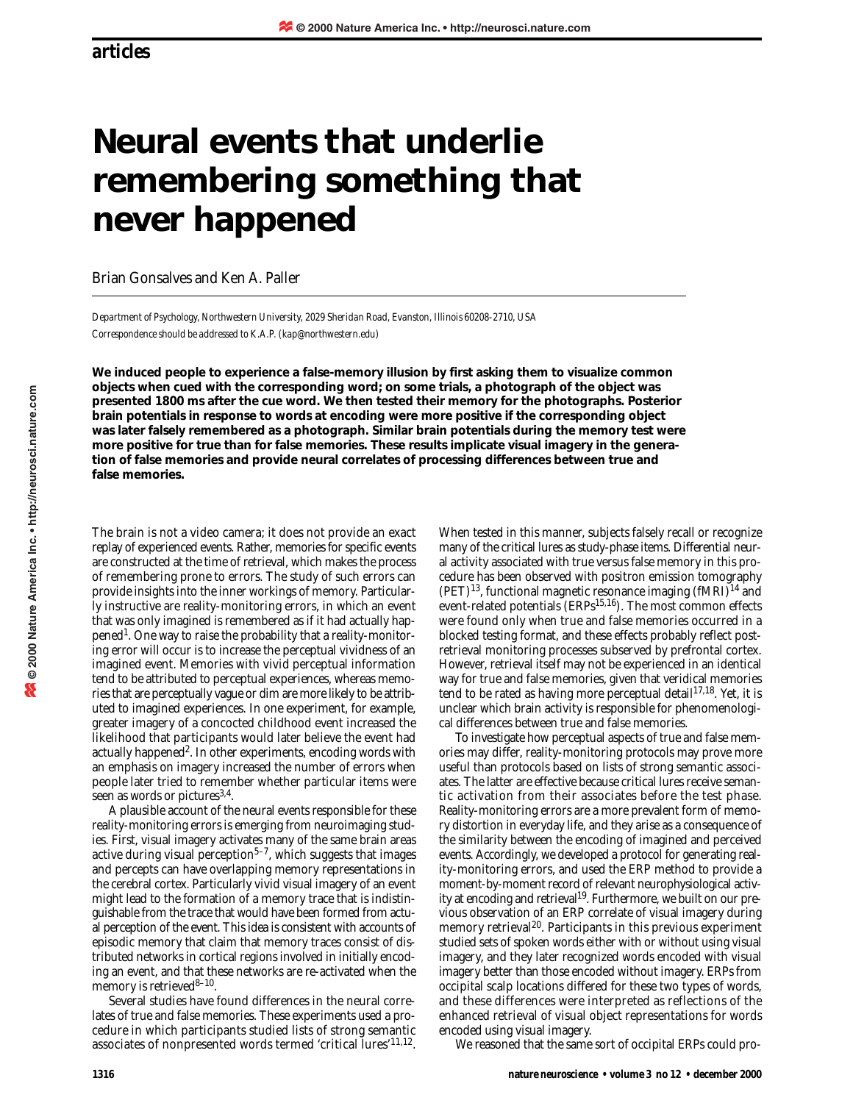# **Neural events that underlie remembering something that never happened**

Brian Gonsalves and Ken A. Paller

*Department of Psychology, Northwestern University, 2029 Sheridan Road, Evanston, Illinois 60208-2710, USA Correspondence should be addressed to K.A.P. (kap@northwestern.edu)*

**We induced people to experience a false-memory illusion by first asking them to visualize common objects when cued with the corresponding word; on some trials, a photograph of the object was presented 1800 ms after the cue word. We then tested their memory for the photographs. Posterior brain potentials in response to words at encoding were more positive if the corresponding object was later falsely remembered as a photograph. Similar brain potentials during the memory test were more positive for true than for false memories. These results implicate visual imagery in the generation of false memories and provide neural correlates of processing differences between true and false memories.**

The brain is not a video camera; it does not provide an exact replay of experienced events. Rather, memories for specific events are constructed at the time of retrieval, which makes the process of remembering prone to errors. The study of such errors can provide insights into the inner workings of memory. Particularly instructive are reality-monitoring errors, in which an event that was only imagined is remembered as if it had actually happened<sup>1</sup>. One way to raise the probability that a reality-monitoring error will occur is to increase the perceptual vividness of an imagined event. Memories with vivid perceptual information tend to be attributed to perceptual experiences, whereas memories that are perceptually vague or dim are more likely to be attributed to imagined experiences. In one experiment, for example, greater imagery of a concocted childhood event increased the likelihood that participants would later believe the event had actually happened<sup>2</sup>. In other experiments, encoding words with an emphasis on imagery increased the number of errors when people later tried to remember whether particular items were seen as words or pictures<sup>3,4</sup>.

A plausible account of the neural events responsible for these reality-monitoring errors is emerging from neuroimaging studies. First, visual imagery activates many of the same brain areas active during visual perception $5-7$ , which suggests that images and percepts can have overlapping memory representations in the cerebral cortex. Particularly vivid visual imagery of an event might lead to the formation of a memory trace that is indistinguishable from the trace that would have been formed from actual perception of the event. This idea is consistent with accounts of episodic memory that claim that memory traces consist of distributed networks in cortical regions involved in initially encoding an event, and that these networks are re-activated when the memory is retrieved $8-10$ .

Several studies have found differences in the neural correlates of true and false memories. These experiments used a procedure in which participants studied lists of strong semantic associates of nonpresented words termed 'critical lures'11,12.

When tested in this manner, subjects falsely recall or recognize many of the critical lures as study-phase items. Differential neural activity associated with true versus false memory in this procedure has been observed with positron emission tomography  $(PET)^{13}$ , functional magnetic resonance imaging  $(fMRI)^{14}$  and event-related potentials  $(ERPs<sup>15,16</sup>)$ . The most common effects were found only when true and false memories occurred in a blocked testing format, and these effects probably reflect postretrieval monitoring processes subserved by prefrontal cortex. However, retrieval itself may not be experienced in an identical way for true and false memories, given that veridical memories tend to be rated as having more perceptual detail<sup>17,18</sup>. Yet, it is unclear which brain activity is responsible for phenomenological differences between true and false memories.

To investigate how perceptual aspects of true and false memories may differ, reality-monitoring protocols may prove more useful than protocols based on lists of strong semantic associates. The latter are effective because critical lures receive semantic activation from their associates before the test phase. Reality-monitoring errors are a more prevalent form of memory distortion in everyday life, and they arise as a consequence of the similarity between the encoding of imagined and perceived events. Accordingly, we developed a protocol for generating reality-monitoring errors, and used the ERP method to provide a moment-by-moment record of relevant neurophysiological activity at encoding and retrieval<sup>19</sup>. Furthermore, we built on our previous observation of an ERP correlate of visual imagery during memory retrieval<sup>20</sup>. Participants in this previous experiment studied sets of spoken words either with or without using visual imagery, and they later recognized words encoded with visual imagery better than those encoded without imagery. ERPs from occipital scalp locations differed for these two types of words, and these differences were interpreted as reflections of the enhanced retrieval of visual object representations for words encoded using visual imagery.

We reasoned that the same sort of occipital ERPs could pro-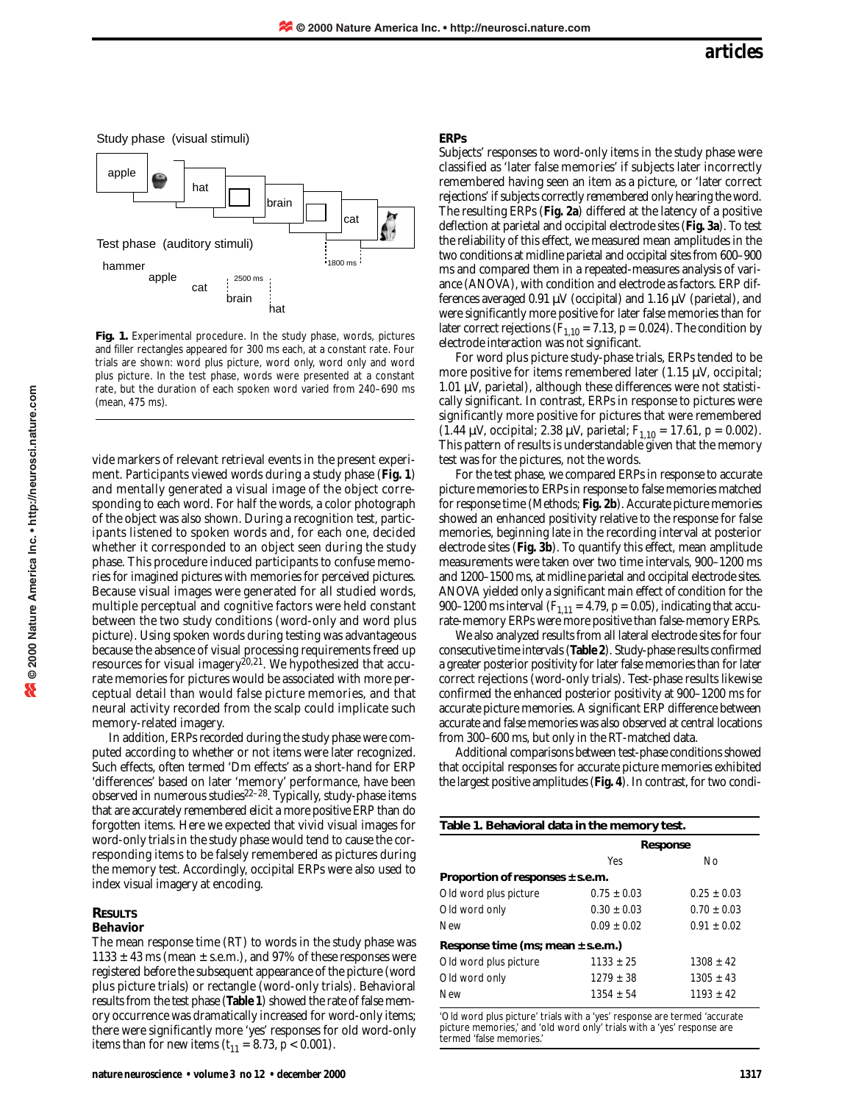



**Fig. 1.** Experimental procedure. In the study phase, words, pictures and filler rectangles appeared for 300 ms each, at a constant rate. Four trials are shown: word plus picture, word only, word only and word plus picture. In the test phase, words were presented at a constant rate, but the duration of each spoken word varied from 240–690 ms (mean, 475 ms).

vide markers of relevant retrieval events in the present experiment. Participants viewed words during a study phase (**Fig. 1**) and mentally generated a visual image of the object corresponding to each word. For half the words, a color photograph of the object was also shown. During a recognition test, participants listened to spoken words and, for each one, decided whether it corresponded to an object seen during the study phase. This procedure induced participants to confuse memories for imagined pictures with memories for perceived pictures. Because visual images were generated for all studied words, multiple perceptual and cognitive factors were held constant between the two study conditions (word-only and word plus picture). Using spoken words during testing was advantageous because the absence of visual processing requirements freed up resources for visual imagery<sup>20,21</sup>. We hypothesized that accurate memories for pictures would be associated with more perceptual detail than would false picture memories, and that neural activity recorded from the scalp could implicate such memory-related imagery.

In addition, ERPs recorded during the study phase were computed according to whether or not items were later recognized. Such effects, often termed 'Dm effects' as a short-hand for ERP 'differences' based on later 'memory' performance, have been observed in numerous studies<sup>22-28</sup>. Typically, study-phase items that are accurately remembered elicit a more positive ERP than do forgotten items. Here we expected that vivid visual images for word-only trials in the study phase would tend to cause the corresponding items to be falsely remembered as pictures during the memory test. Accordingly, occipital ERPs were also used to index visual imagery at encoding.

## **RESULTS**

#### **Behavior**

The mean response time (RT) to words in the study phase was  $1133 \pm 43$  ms (mean  $\pm$  s.e.m.), and 97% of these responses were registered before the subsequent appearance of the picture (word plus picture trials) or rectangle (word-only trials). Behavioral results from the test phase (**Table 1**) showed the rate of false memory occurrence was dramatically increased for word-only items; there were significantly more 'yes' responses for old word-only items than for new items ( $t_{11} = 8.73$ ,  $p < 0.001$ ).

## **ERPs**

Subjects' responses to word-only items in the study phase were classified as 'later false memories' if subjects later incorrectly remembered having seen an item as a picture, or 'later correct rejections' if subjects correctly remembered only hearing the word. The resulting ERPs (**Fig. 2a**) differed at the latency of a positive deflection at parietal and occipital electrode sites (**Fig. 3a**). To test the reliability of this effect, we measured mean amplitudes in the two conditions at midline parietal and occipital sites from 600–900 ms and compared them in a repeated-measures analysis of variance (ANOVA), with condition and electrode as factors. ERP differences averaged 0.91  $\mu$ V (occipital) and 1.16  $\mu$ V (parietal), and were significantly more positive for later false memories than for later correct rejections ( $F_{1,10}$  = 7.13,  $p$  = 0.024). The condition by electrode interaction was not significant.

For word plus picture study-phase trials, ERPs tended to be more positive for items remembered later  $(1.15 \mu V,$  occipital;  $1.01 \mu V$ , parietal), although these differences were not statistically significant. In contrast, ERPs in response to pictures were significantly more positive for pictures that were remembered (1.44  $\mu$ V, occipital; 2.38  $\mu$ V, parietal;  $F_{1,10} = 17.61$ ,  $p = 0.002$ ). This pattern of results is understandable given that the memory test was for the pictures, not the words.

For the test phase, we compared ERPs in response to accurate picture memories to ERPs in response to false memories matched for response time (Methods; **Fig. 2b**). Accurate picture memories showed an enhanced positivity relative to the response for false memories, beginning late in the recording interval at posterior electrode sites (**Fig. 3b**). To quantify this effect, mean amplitude measurements were taken over two time intervals, 900–1200 ms and 1200–1500 ms, at midline parietal and occipital electrode sites. ANOVA yielded only a significant main effect of condition for the 900–1200 ms interval ( $F_{1,11} = 4.79$ ,  $p = 0.05$ ), indicating that accurate-memory ERPs were more positive than false-memory ERPs.

We also analyzed results from all lateral electrode sites for four consecutive time intervals (**Table 2**). Study-phase results confirmed a greater posterior positivity for later false memories than for later correct rejections (word-only trials). Test-phase results likewise confirmed the enhanced posterior positivity at 900–1200 ms for accurate picture memories. A significant ERP difference between accurate and false memories was also observed at central locations from 300–600 ms, but only in the RT-matched data.

Additional comparisons between test-phase conditions showed that occipital responses for accurate picture memories exhibited the largest positive amplitudes (**Fig. 4**). In contrast, for two condi-

| Table 1. Behavioral data in the memory test. |                 |                 |  |  |  |  |  |
|----------------------------------------------|-----------------|-----------------|--|--|--|--|--|
|                                              | Response        |                 |  |  |  |  |  |
|                                              | Yes             | No              |  |  |  |  |  |
| Proportion of responses $\pm$ s.e.m.         |                 |                 |  |  |  |  |  |
| Old word plus picture                        | $0.75 \pm 0.03$ | $0.25 \pm 0.03$ |  |  |  |  |  |
| Old word only                                | $0.30 \pm 0.03$ | $0.70 \pm 0.03$ |  |  |  |  |  |
| <b>New</b>                                   | $0.09 + 0.02$   | $0.91 + 0.02$   |  |  |  |  |  |
| Response time (ms; mean $\pm$ s.e.m.)        |                 |                 |  |  |  |  |  |
| Old word plus picture                        | $1133 + 25$     | $1308 + 42$     |  |  |  |  |  |
| Old word only                                | $1279 \pm 38$   | $1305 + 43$     |  |  |  |  |  |
| <b>New</b>                                   | $1354 + 54$     | $1193 + 42$     |  |  |  |  |  |

'Old word plus picture' trials with a 'yes' response are termed 'accurate picture memories,' and 'old word only' trials with a 'yes' response are termed 'false memories.'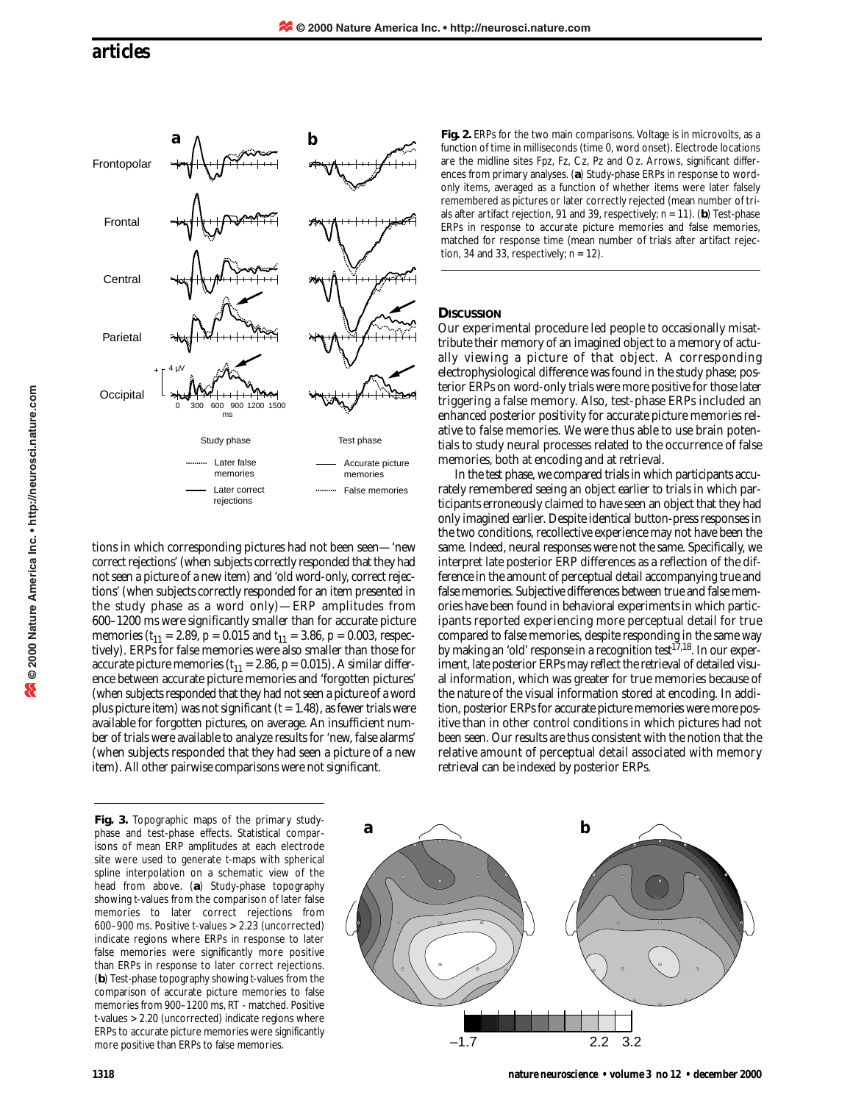

tions in which corresponding pictures had not been seen—'new correct rejections' (when subjects correctly responded that they had not seen a picture of a new item) and 'old word-only, correct rejections' (when subjects correctly responded for an item presented in the study phase as a word only)—ERP amplitudes from 600–1200 ms were significantly smaller than for accurate picture memories ( $t_{11} = 2.89$ ,  $p = 0.015$  and  $t_{11} = 3.86$ ,  $p = 0.003$ , respectively). ERPs for false memories were also smaller than those for accurate picture memories ( $t_{11} = 2.86$ ,  $p = 0.015$ ). A similar difference between accurate picture memories and 'forgotten pictures' (when subjects responded that they had not seen a picture of a word plus picture item) was not significant (*t* = 1.48), as fewer trials were available for forgotten pictures, on average. An insufficient number of trials were available to analyze results for 'new, false alarms' (when subjects responded that they had seen a picture of a new item). All other pairwise comparisons were not significant.

**Fig. 3.** Topographic maps of the primary studyphase and test-phase effects. Statistical comparisons of mean ERP amplitudes at each electrode site were used to generate *t*-maps with spherical spline interpolation on a schematic view of the head from above. (**a**) Study-phase topography showing *t*-values from the comparison of later false memories to later correct rejections from 600–900 ms. Positive *t*-values > 2.23 (uncorrected) indicate regions where ERPs in response to later false memories were significantly more positive than ERPs in response to later correct rejections. (**b**) Test-phase topography showing *t*-values from the comparison of accurate picture memories to false memories from 900–1200 ms, RT - matched. Positive *t*-values > 2.20 (uncorrected) indicate regions where ERPs to accurate picture memories were significantly

**Fig. 2.** ERPs for the two main comparisons. Voltage is in microvolts, as a function of time in milliseconds (time 0, word onset). Electrode locations are the midline sites Fpz, Fz, Cz, Pz and Oz. Arrows, significant differences from primary analyses. (**a**) Study-phase ERPs in response to wordonly items, averaged as a function of whether items were later falsely remembered as pictures or later correctly rejected (mean number of trials after artifact rejection, 91 and 39, respectively; *n* = 11). (**b**) Test-phase ERPs in response to accurate picture memories and false memories, matched for response time (mean number of trials after artifact rejection, 34 and 33, respectively; *n* = 12).

## **DISCUSSION**

Our experimental procedure led people to occasionally misattribute their memory of an imagined object to a memory of actually viewing a picture of that object. A corresponding electrophysiological difference was found in the study phase; posterior ERPs on word-only trials were more positive for those later triggering a false memory. Also, test-phase ERPs included an enhanced posterior positivity for accurate picture memories relative to false memories. We were thus able to use brain potentials to study neural processes related to the occurrence of false memories, both at encoding and at retrieval.

In the test phase, we compared trials in which participants accurately remembered seeing an object earlier to trials in which participants erroneously claimed to have seen an object that they had only imagined earlier. Despite identical button-press responses in the two conditions, recollective experience may not have been the same. Indeed, neural responses were not the same. Specifically, we interpret late posterior ERP differences as a reflection of the difference in the amount of perceptual detail accompanying true and false memories. Subjective differences between true and false memories have been found in behavioral experiments in which participants reported experiencing more perceptual detail for true compared to false memories, despite responding in the same way by making an 'old' response in a recognition test $17,18$ . In our experiment, late posterior ERPs may reflect the retrieval of detailed visual information, which was greater for true memories because of the nature of the visual information stored at encoding. In addition, posterior ERPs for accurate picture memories were more positive than in other control conditions in which pictures had not been seen. Our results are thus consistent with the notion that the relative amount of perceptual detail associated with memory retrieval can be indexed by posterior ERPs.

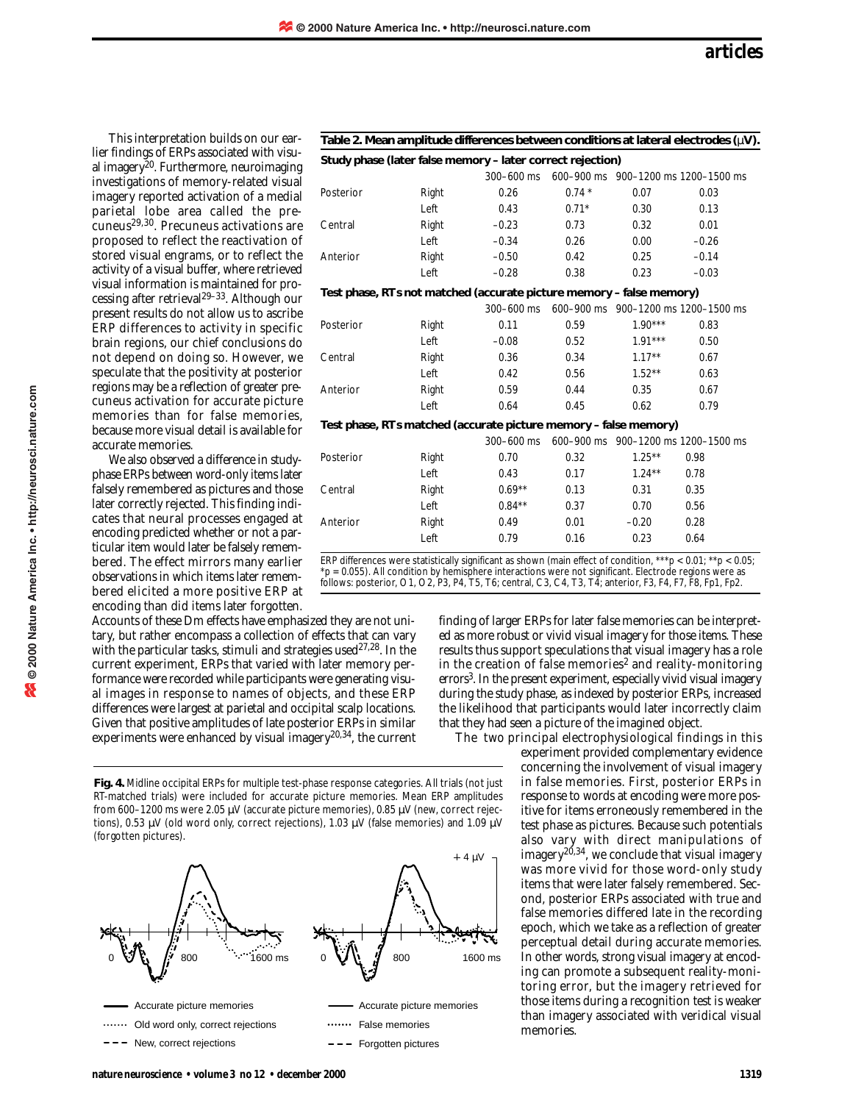This interpretation builds on our earlier findings of ERPs associated with visual imagery<sup>20</sup>. Furthermore, neuroimaging investigations of memory-related visual imagery reported activation of a medial parietal lobe area called the precuneus29,30. Precuneus activations are proposed to reflect the reactivation of stored visual engrams, or to reflect the activity of a visual buffer, where retrieved visual information is maintained for processing after retrieval<sup>29-33</sup>. Although our present results do not allow us to ascribe ERP differences to activity in specific brain regions, our chief conclusions do not depend on doing so. However, we speculate that the positivity at posterior regions may be a reflection of greater precuneus activation for accurate picture memories than for false memories, because more visual detail is available for accurate memories.

We also observed a difference in studyphase ERPs between word-only items later falsely remembered as pictures and those later correctly rejected. This finding indicates that neural processes engaged at encoding predicted whether or not a particular item would later be falsely remembered. The effect mirrors many earlier observations in which items later remembered elicited a more positive ERP at encoding than did items later forgotten.

Accounts of these Dm effects have emphasized they are not unitary, but rather encompass a collection of effects that can vary with the particular tasks, stimuli and strategies used<sup>27,28</sup>. In the current experiment, ERPs that varied with later memory performance were recorded while participants were generating visual images in response to names of objects, and these ERP differences were largest at parietal and occipital scalp locations. Given that positive amplitudes of late posterior ERPs in similar experiments were enhanced by visual imagery $20,34$ , the current

**Fig. 4.** Midline occipital ERPs for multiple test-phase response categories. All trials (not just RT-matched trials) were included for accurate picture memories. Mean ERP amplitudes from 600–1200 ms were 2.05 µV (accurate picture memories), 0.85 µV (new, correct rejections), 0.53  $\mu$ V (old word only, correct rejections), 1.03  $\mu$ V (false memories) and 1.09  $\mu$ V (forgotten pictures).



| Table 2. Mean amplitude differences between conditions at lateral electrodes ( $\mu$ V). |  |
|------------------------------------------------------------------------------------------|--|
|                                                                                          |  |

| Study phase (later false memory – later correct rejection)           |       |            |         |                                     |         |  |  |  |
|----------------------------------------------------------------------|-------|------------|---------|-------------------------------------|---------|--|--|--|
|                                                                      |       | 300-600 ms |         | 600-900 ms 900-1200 ms 1200-1500 ms |         |  |  |  |
| Posterior                                                            | Right | 0.26       | $0.74*$ | 0.07                                | 0.03    |  |  |  |
|                                                                      | Left  | 0.43       | $0.71*$ | 0.30                                | 0.13    |  |  |  |
| Central                                                              | Right | $-0.23$    | 0.73    | 0.32                                | 0.01    |  |  |  |
|                                                                      | Left  | $-0.34$    | 0.26    | 0.00                                | $-0.26$ |  |  |  |
| Anterior                                                             | Right | $-0.50$    | 0.42    | 0.25                                | $-0.14$ |  |  |  |
|                                                                      | Left  | $-0.28$    | 0.38    | 0.23                                | $-0.03$ |  |  |  |
| Test phase, RTs not matched (accurate picture memory - false memory) |       |            |         |                                     |         |  |  |  |
|                                                                      |       | 300-600 ms |         | 600-900 ms 900-1200 ms 1200-1500 ms |         |  |  |  |
| Posterior                                                            | Right | 0.11       | 0.59    | $1.90***$                           | 0.83    |  |  |  |
|                                                                      | Left  | $-0.08$    | 0.52    | $1.91***$                           | 0.50    |  |  |  |
| Central                                                              | Right | 0.36       | 0.34    | $1.17***$                           | 0.67    |  |  |  |
|                                                                      | Left  | 0.42       | 0.56    | $1.52**$                            | 0.63    |  |  |  |
| Anterior                                                             | Right | 0.59       | 0.44    | 0.35                                | 0.67    |  |  |  |
|                                                                      | Left  | 0.64       | 0.45    | 0.62                                | 0.79    |  |  |  |
| Test phase, RTs matched (accurate picture memory – false memory)     |       |            |         |                                     |         |  |  |  |
|                                                                      |       | 300-600 ms |         | 600-900 ms 900-1200 ms 1200-1500 ms |         |  |  |  |
| Posterior                                                            | Right | 0.70       | 0.32    | $1.25***$                           | 0.98    |  |  |  |
|                                                                      | Left  | 0.43       | 0.17    | $1.24***$                           | 0.78    |  |  |  |
| Central                                                              | Right | $0.69**$   | 0.13    | 0.31                                | 0.35    |  |  |  |
|                                                                      | Left  | $0.84***$  | 0.37    | 0.70                                | 0.56    |  |  |  |
| Anterior                                                             | Right | 0.49       | 0.01    | $-0.20$                             | 0.28    |  |  |  |
|                                                                      | Left  | 0.79       | 0.16    | 0.23                                | 0.64    |  |  |  |
|                                                                      |       |            |         |                                     |         |  |  |  |

ERP differences were statistically significant as shown (main effect of condition, \*\*\**p* < 0.01; \*\**p* < 0.05;  $^{\star}$ *p* = 0.055). All condition by hemisphere interactions were not significant. Electrode regions were as follows: posterior, O1, O2, P3, P4, T5, T6; central, C3, C4, T3, T4; anterior, F3, F4, F7, F8, Fp1, Fp2.

> finding of larger ERPs for later false memories can be interpreted as more robust or vivid visual imagery for those items. These results thus support speculations that visual imagery has a role in the creation of false memories<sup>2</sup> and reality-monitoring errors<sup>3</sup>. In the present experiment, especially vivid visual imagery during the study phase, as indexed by posterior ERPs, increased the likelihood that participants would later incorrectly claim that they had seen a picture of the imagined object.

The two principal electrophysiological findings in this

experiment provided complementary evidence concerning the involvement of visual imagery in false memories. First, posterior ERPs in response to words at encoding were more positive for items erroneously remembered in the test phase as pictures. Because such potentials also vary with direct manipulations of imagery<sup>20,34</sup>, we conclude that visual imagery was more vivid for those word-only study items that were later falsely remembered. Second, posterior ERPs associated with true and false memories differed late in the recording epoch, which we take as a reflection of greater perceptual detail during accurate memories. In other words, strong visual imagery at encoding can promote a subsequent reality-monitoring error, but the imagery retrieved for those items during a recognition test is weaker than imagery associated with veridical visual memories.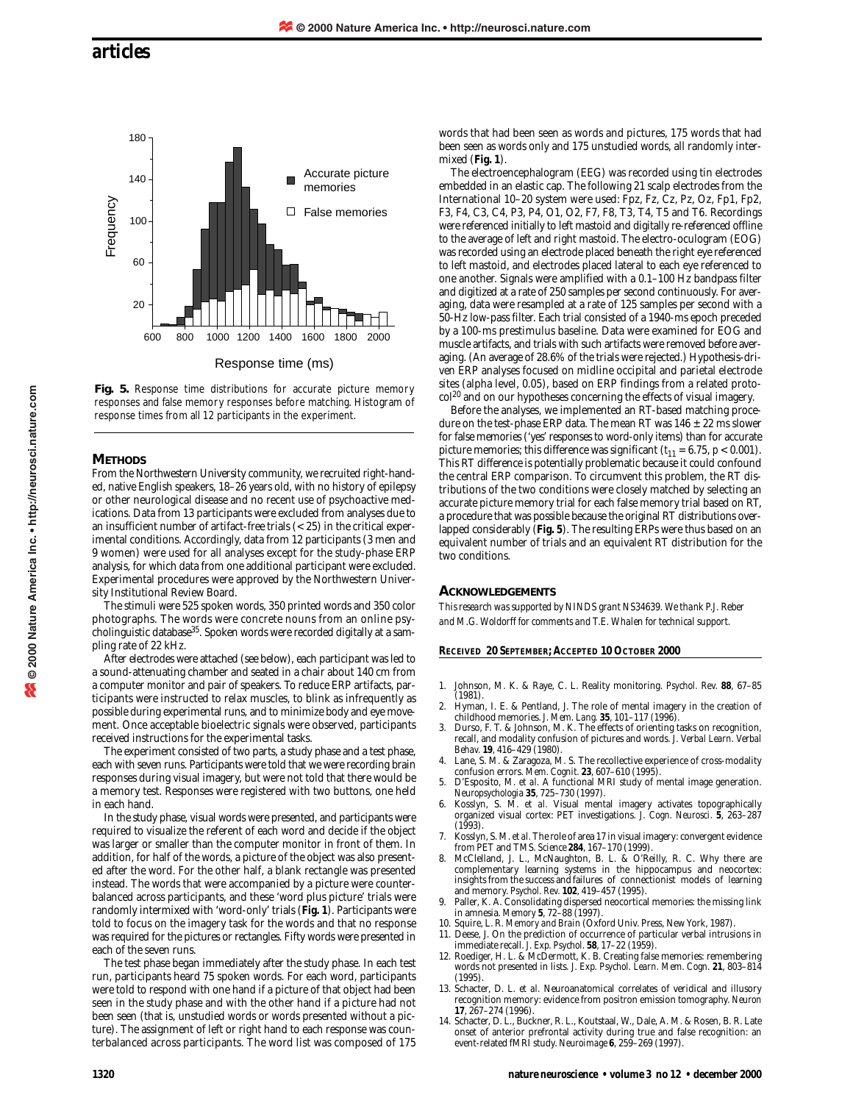## *articles*



**Fig. 5.** Response time distributions for accurate picture memory responses and false memory responses before matching. Histogram of response times from all 12 participants in the experiment.

### **METHODS**

From the Northwestern University community, we recruited right-handed, native English speakers, 18–26 years old, with no history of epilepsy or other neurological disease and no recent use of psychoactive medications. Data from 13 participants were excluded from analyses due to an insufficient number of artifact-free trials (< 25) in the critical experimental conditions. Accordingly, data from 12 participants (3 men and 9 women) were used for all analyses except for the study-phase ERP analysis, for which data from one additional participant were excluded. Experimental procedures were approved by the Northwestern University Institutional Review Board.

The stimuli were 525 spoken words, 350 printed words and 350 color photographs. The words were concrete nouns from an online psycholinguistic database<sup>35</sup>. Spoken words were recorded digitally at a sampling rate of 22 kHz.

After electrodes were attached (see below), each participant was led to a sound-attenuating chamber and seated in a chair about 140 cm from a computer monitor and pair of speakers. To reduce ERP artifacts, participants were instructed to relax muscles, to blink as infrequently as possible during experimental runs, and to minimize body and eye movement. Once acceptable bioelectric signals were observed, participants received instructions for the experimental tasks.

The experiment consisted of two parts, a study phase and a test phase, each with seven runs. Participants were told that we were recording brain responses during visual imagery, but were not told that there would be a memory test. Responses were registered with two buttons, one held in each hand.

In the study phase, visual words were presented, and participants were required to visualize the referent of each word and decide if the object was larger or smaller than the computer monitor in front of them. In addition, for half of the words, a picture of the object was also presented after the word. For the other half, a blank rectangle was presented instead. The words that were accompanied by a picture were counterbalanced across participants, and these 'word plus picture' trials were randomly intermixed with 'word-only' trials (**Fig. 1**). Participants were told to focus on the imagery task for the words and that no response was required for the pictures or rectangles. Fifty words were presented in each of the seven runs.

The test phase began immediately after the study phase. In each test run, participants heard 75 spoken words. For each word, participants were told to respond with one hand if a picture of that object had been seen in the study phase and with the other hand if a picture had not been seen (that is, unstudied words or words presented without a picture). The assignment of left or right hand to each response was counterbalanced across participants. The word list was composed of 175 words that had been seen as words and pictures, 175 words that had been seen as words only and 175 unstudied words, all randomly intermixed (**Fig. 1**).

The electroencephalogram (EEG) was recorded using tin electrodes embedded in an elastic cap. The following 21 scalp electrodes from the International 10–20 system were used: Fpz, Fz, Cz, Pz, Oz, Fp1, Fp2, F3, F4, C3, C4, P3, P4, O1, O2, F7, F8, T3, T4, T5 and T6. Recordings were referenced initially to left mastoid and digitally re-referenced offline to the average of left and right mastoid. The electro-oculogram (EOG) was recorded using an electrode placed beneath the right eye referenced to left mastoid, and electrodes placed lateral to each eye referenced to one another. Signals were amplified with a 0.1–100 Hz bandpass filter and digitized at a rate of 250 samples per second continuously. For averaging, data were resampled at a rate of 125 samples per second with a 50-Hz low-pass filter. Each trial consisted of a 1940-ms epoch preceded by a 100-ms prestimulus baseline. Data were examined for EOG and muscle artifacts, and trials with such artifacts were removed before averaging. (An average of 28.6% of the trials were rejected.) Hypothesis-driven ERP analyses focused on midline occipital and parietal electrode sites (alpha level, 0.05), based on ERP findings from a related protocol<sup>20</sup> and on our hypotheses concerning the effects of visual imagery.

Before the analyses, we implemented an RT-based matching procedure on the test-phase ERP data. The mean RT was  $146 \pm 22$  ms slower for false memories ('yes' responses to word-only items) than for accurate picture memories; this difference was significant  $(t_{11} = 6.75, p < 0.001)$ . This RT difference is potentially problematic because it could confound the central ERP comparison. To circumvent this problem, the RT distributions of the two conditions were closely matched by selecting an accurate picture memory trial for each false memory trial based on RT, a procedure that was possible because the original RT distributions overlapped considerably (**Fig. 5**). The resulting ERPs were thus based on an equivalent number of trials and an equivalent RT distribution for the two conditions.

#### **ACKNOWLEDGEMENTS**

*This research was supported by NINDS grant NS34639. We thank P.J. Reber and M.G. Woldorff for comments and T.E. Whalen for technical support.*

#### **RECEIVED 20 SEPTEMBER; ACCEPTED 10 OCTOBER 2000**

- 1. Johnson, M. K. & Raye, C. L. Reality monitoring. *Psychol. Rev.* **88**, 67–85  $(1981)$ .
- 2. Hyman, I. E. & Pentland, J. The role of mental imagery in the creation of childhood memories. *J. Mem. Lang.* **35**, 101–117 (1996). 3. Durso, F. T. & Johnson, M. K. The effects of orienting tasks on recognition,
- recall, and modality confusion of pictures and words. *J. Verbal Learn. Verbal Behav.* **19**, 416–429 (1980).
- 4. Lane, S. M. & Zaragoza, M. S. The recollective experience of cross-modality confusion errors. *Mem. Cognit.* **23**, 607–610 (1995).
- 5. D'Esposito, M. *et al.* A functional MRI study of mental image generation. *Neuropsychologia* **35**, 725–730 (1997).
- Kosslyn, S. M. et al. Visual mental imagery activates topographically organized visual cortex: PET investigations. *J. Cogn. Neurosci.* **5**, 263–287  $(1993)$ .
- 7. Kosslyn, S. M.*et al.* The role of area 17 in visual imagery: convergent evidence from PET and TMS. *Science* **284**, 167–170 (1999).
- 8. McClelland, J. L., McNaughton, B. L. & O'Reilly, R. C. Why there are complementary learning systems in the hippocampus and neocortex: insights from the success and failures of connectionist models of learning and memory. *Psychol. Rev.* **102**, 419–457 (1995).
- 9. Paller, K. A. Consolidating dispersed neocortical memories: the missing link in amnesia. *Memory* **5**, 72–88 (1997).
- 10. Squire, L. R. *Memory and Brain* (Oxford Univ. Press, New York, 1987).
- 11. Deese, J. On the prediction of occurrence of particular verbal intrusions in immediate recall. *J. Exp. Psychol.* **58**, 17–22 (1959).
- 12. Roediger, H. L. & McDermott, K. B. Creating false memories: remembering words not presented in lists. *J. Exp. Psychol. Learn. Mem. Cogn.* **21**, 803–814 (1995).
- 13. Schacter, D. L. *et al.* Neuroanatomical correlates of veridical and illusory recognition memory: evidence from positron emission tomography. *Neuron* **17**, 267–274 (1996).
- 14. Schacter, D. L., Buckner, R. L., Koutstaal, W., Dale, A. M. & Rosen, B. R. Late onset of anterior prefrontal activity during true and false recognition: an event-related fMRI study. *Neuroimage* **6**, 259–269 (1997).